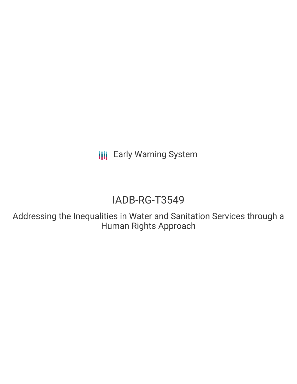**III** Early Warning System

# IADB-RG-T3549

Addressing the Inequalities in Water and Sanitation Services through a Human Rights Approach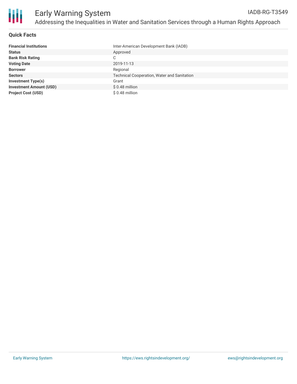

#### **Quick Facts**

| <b>Financial Institutions</b>  | Inter-American Development Bank (IADB)      |
|--------------------------------|---------------------------------------------|
| <b>Status</b>                  | Approved                                    |
| <b>Bank Risk Rating</b>        | C                                           |
| <b>Voting Date</b>             | 2019-11-13                                  |
| <b>Borrower</b>                | Regional                                    |
| <b>Sectors</b>                 | Technical Cooperation, Water and Sanitation |
| <b>Investment Type(s)</b>      | Grant                                       |
| <b>Investment Amount (USD)</b> | \$0.48 million                              |
| <b>Project Cost (USD)</b>      | \$0.48 million                              |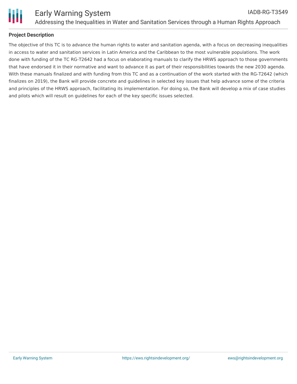

### **Project Description**

The objective of this TC is to advance the human rights to water and sanitation agenda, with a focus on decreasing inequalities in access to water and sanitation services in Latin America and the Caribbean to the most vulnerable populations. The work done with funding of the TC RG-T2642 had a focus on elaborating manuals to clarify the HRWS approach to those governments that have endorsed it in their normative and want to advance it as part of their responsibilities towards the new 2030 agenda. With these manuals finalized and with funding from this TC and as a continuation of the work started with the RG-T2642 (which finalizes on 2019), the Bank will provide concrete and guidelines in selected key issues that help advance some of the criteria and principles of the HRWS approach, facilitating its implementation. For doing so, the Bank will develop a mix of case studies and pilots which will result on guidelines for each of the key specific issues selected.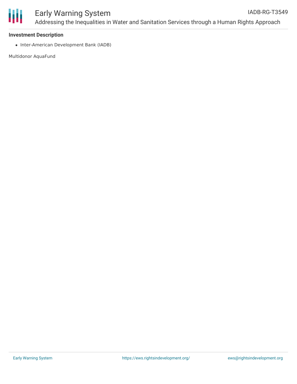

#### **Investment Description**

• Inter-American Development Bank (IADB)

Multidonor AquaFund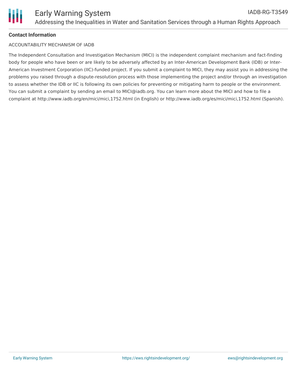## **Contact Information**

#### ACCOUNTABILITY MECHANISM OF IADB

The Independent Consultation and Investigation Mechanism (MICI) is the independent complaint mechanism and fact-finding body for people who have been or are likely to be adversely affected by an Inter-American Development Bank (IDB) or Inter-American Investment Corporation (IIC)-funded project. If you submit a complaint to MICI, they may assist you in addressing the problems you raised through a dispute-resolution process with those implementing the project and/or through an investigation to assess whether the IDB or IIC is following its own policies for preventing or mitigating harm to people or the environment. You can submit a complaint by sending an email to MICI@iadb.org. You can learn more about the MICI and how to file a complaint at http://www.iadb.org/en/mici/mici,1752.html (in English) or http://www.iadb.org/es/mici/mici,1752.html (Spanish).